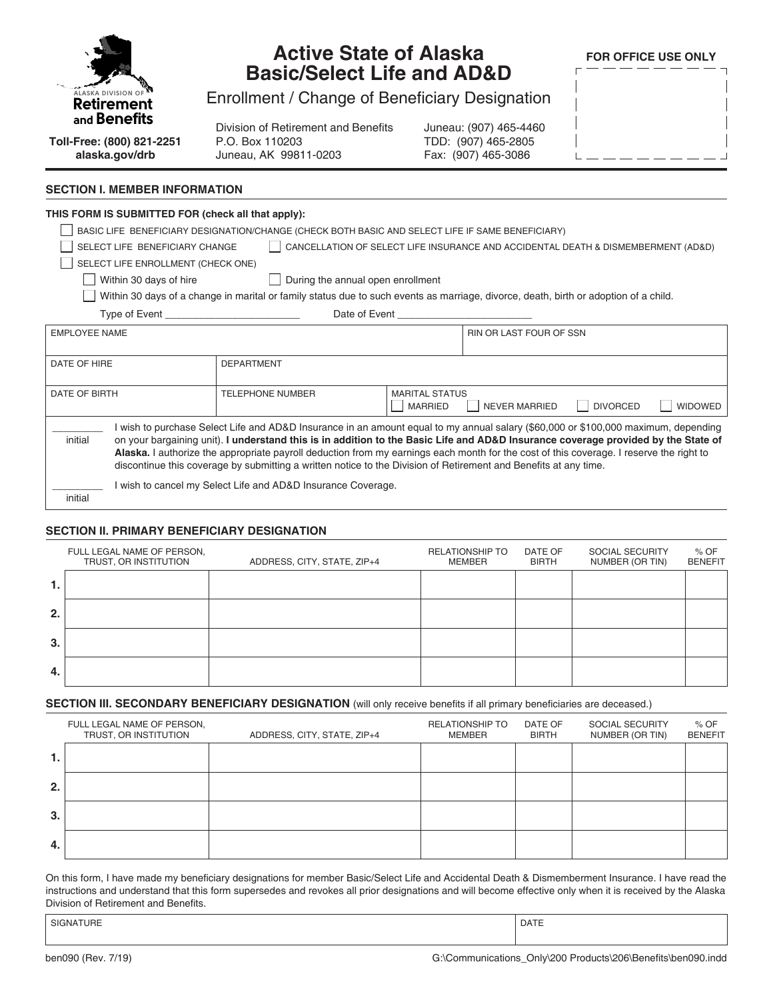| <b>ALASKA DIVISION O</b> |
|--------------------------|
| Retirement               |
| and <b>Benefits</b>      |

## **Active State of Alaska Basic/Select Life and AD&D**

**FOR OFFICE USE ONLY**

Enrollment / Change of Beneficiary Designation

Division of Retirement and Benefits P.O. Box 110203 Juneau, AK 99811-0203

Juneau: (907) 465-4460 TDD: (907) 465-2805 Fax: (907) 465-3086

| L                        |  |  |  |  |   |
|--------------------------|--|--|--|--|---|
| $\overline{\phantom{a}}$ |  |  |  |  | Ï |
|                          |  |  |  |  |   |
|                          |  |  |  |  |   |
| $\overline{\phantom{a}}$ |  |  |  |  |   |
|                          |  |  |  |  | ī |

**Toll-Free: (800) 821-2251 alaska.gov/drb**

#### **SECTION I. MEMBER INFORMATION**

## **THIS FORM IS SUBMITTED FOR (check all that apply):** BASIC LIFE BENEFICIARY DESIGNATION/CHANGE (CHECK BOTH BASIC AND SELECT LIFE IF SAME BENEFICIARY) SELECT LIFE BENEFICIARY CHANGE | CANCELLATION OF SELECT LIFE INSURANCE AND ACCIDENTAL DEATH & DISMEMBERMENT (AD&D) SELECT LIFE ENROLLMENT (CHECK ONE)  $\Box$  Within 30 days of hire  $\Box$  During the annual open enrollment Within 30 days of a change in marital or family status due to such events as marriage, divorce, death, birth or adoption of a child. Type of Event Type of Event and Type of Event and Type of Event  $\Box$ EMPLOYEE NAME RIN OR LAST FOUR OF SSN DATE OF HIRE **DEPARTMENT** DATE OF BIRTH TELEPHONE NUMBER MARITAL STATUS | MARRIED | NEVER MARRIED | DIVORCED | WIDOWED  $\overline{\phantom{a}}$ initial I wish to purchase Select Life and AD&D Insurance in an amount equal to my annual salary (\$60,000 or \$100,000 maximum, depending on your bargaining unit). **I understand this is in addition to the Basic Life and AD&D Insurance coverage provided by the State of Alaska.** I authorize the appropriate payroll deduction from my earnings each month for the cost of this coverage. I reserve the right to discontinue this coverage by submitting a written notice to the Division of Retirement and Benefits at any time.  $\overline{\phantom{a}}$ initial I wish to cancel my Select Life and AD&D Insurance Coverage.

### **SECTION II. PRIMARY BENEFICIARY DESIGNATION**

|     | FULL LEGAL NAME OF PERSON,<br>TRUST, OR INSTITUTION | ADDRESS, CITY, STATE, ZIP+4 | <b>RELATIONSHIP TO</b><br>MEMBER | DATE OF<br><b>BIRTH</b> | SOCIAL SECURITY<br>NUMBER (OR TIN) | % OF<br><b>BENEFIT</b> |
|-----|-----------------------------------------------------|-----------------------------|----------------------------------|-------------------------|------------------------------------|------------------------|
|     |                                                     |                             |                                  |                         |                                    |                        |
| 2.  |                                                     |                             |                                  |                         |                                    |                        |
| 3.  |                                                     |                             |                                  |                         |                                    |                        |
| -4. |                                                     |                             |                                  |                         |                                    |                        |

### **SECTION III. SECONDARY BENEFICIARY DESIGNATION** (will only receive benefits if all primary beneficiaries are deceased.)

|    | FULL LEGAL NAME OF PERSON,<br>TRUST, OR INSTITUTION | ADDRESS, CITY, STATE, ZIP+4 | <b>RELATIONSHIP TO</b><br>MEMBER | DATE OF<br><b>BIRTH</b> | SOCIAL SECURITY<br>NUMBER (OR TIN) | $%$ OF<br><b>BENEFIT</b> |
|----|-----------------------------------------------------|-----------------------------|----------------------------------|-------------------------|------------------------------------|--------------------------|
| 1. |                                                     |                             |                                  |                         |                                    |                          |
| 2. |                                                     |                             |                                  |                         |                                    |                          |
| 3. |                                                     |                             |                                  |                         |                                    |                          |
| 4. |                                                     |                             |                                  |                         |                                    |                          |

On this form, I have made my beneficiary designations for member Basic/Select Life and Accidental Death & Dismemberment Insurance. I have read the instructions and understand that this form supersedes and revokes all prior designations and will become effective only when it is received by the Alaska Division of Retirement and Benefits.

SIGNATURE PRESENTED IN A SERVICE OF SERVICE SIGNATURE PRESENTED IN A SERVICE OF SERVICE OF SERVICE OF SERVICE O